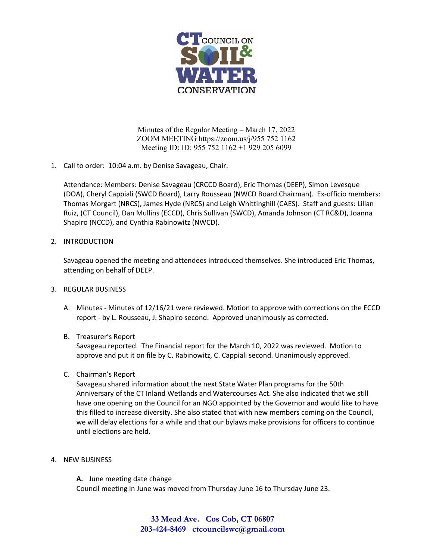

Minutes of the Regular Meeting – March 17, 2022 ZOOM MEETING https://zoom.us/j/955 752 1162 Meeting ID: ID: 955 752 1162 +1 929 205 6099

1. Call to order: 10:04 a.m. by Denise Savageau, Chair.

Attendance: Members: Denise Savageau (CRCCD Board), Eric Thomas (DEEP), Simon Levesque (DOA), Cheryl Cappiali (SWCD Board), Larry Rousseau (NWCD Board Chairman). Ex‐officio members: Thomas Morgart (NRCS), James Hyde (NRCS) and Leigh Whittinghill (CAES). Staff and guests: Lilian Ruiz, (CT Council), Dan Mullins (ECCD), Chris Sullivan (SWCD), Amanda Johnson (CT RC&D), Joanna Shapiro (NCCD), and Cynthia Rabinowitz (NWCD).

# 2. INTRODUCTION

Savageau opened the meeting and attendees introduced themselves. She introduced Eric Thomas, attending on behalf of DEEP.

### 3. REGULAR BUSINESS

A. Minutes - Minutes of 12/16/21 were reviewed. Motion to approve with corrections on the ECCD report ‐ by L. Rousseau, J. Shapiro second. Approved unanimously as corrected.

# B. Treasurer's Report

Savageau reported. The Financial report for the March 10, 2022 was reviewed. Motion to approve and put it on file by C. Rabinowitz, C. Cappiali second. Unanimously approved.

# C. Chairman's Report

Savageau shared information about the next State Water Plan programs for the 50th Anniversary of the CT Inland Wetlands and Watercourses Act. She also indicated that we still have one opening on the Council for an NGO appointed by the Governor and would like to have this filled to increase diversity. She also stated that with new members coming on the Council, we will delay elections for a while and that our bylaws make provisions for officers to continue until elections are held.

4. NEW BUSINESS

**A.** June meeting date change Council meeting in June was moved from Thursday June 16 to Thursday June 23.

> **33 Mead Ave. Cos Cob, CT 06807 203-424-8469 ctcouncilswc@gmail.com**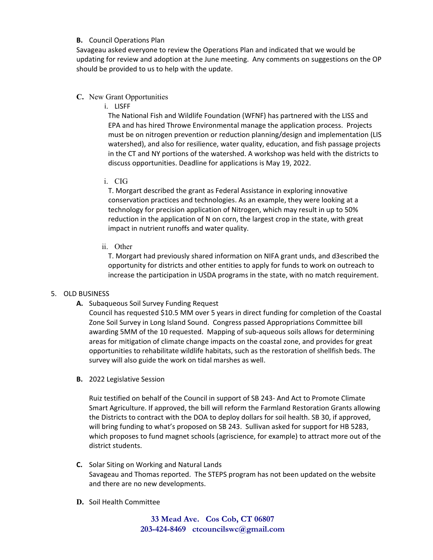#### **B.** Council Operations Plan

Savageau asked everyone to review the Operations Plan and indicated that we would be updating for review and adoption at the June meeting. Any comments on suggestions on the OP should be provided to us to help with the update.

### **C.** New Grant Opportunities

i. LISFF

The National Fish and Wildlife Foundation (WFNF) has partnered with the LISS and EPA and has hired Throwe Environmental manage the application process. Projects must be on nitrogen prevention or reduction planning/design and implementation (LIS watershed), and also for resilience, water quality, education, and fish passage projects in the CT and NY portions of the watershed. A workshop was held with the districts to discuss opportunities. Deadline for applications is May 19, 2022.

i. CIG

T. Morgart described the grant as Federal Assistance in exploring innovative conservation practices and technologies. As an example, they were looking at a technology for precision application of Nitrogen, which may result in up to 50% reduction in the application of N on corn, the largest crop in the state, with great impact in nutrient runoffs and water quality.

ii. Other

T. Morgart had previously shared information on NIFA grant unds, and d3escribed the opportunity for districts and other entities to apply for funds to work on outreach to increase the participation in USDA programs in the state, with no match requirement.

### 5. OLD BUSINESS

**A.** Subaqueous Soil Survey Funding Request

Council has requested \$10.5 MM over 5 years in direct funding for completion of the Coastal Zone Soil Survey in Long Island Sound. Congress passed Appropriations Committee bill awarding 5MM of the 10 requested. Mapping of sub‐aqueous soils allows for determining areas for mitigation of climate change impacts on the coastal zone, and provides for great opportunities to rehabilitate wildlife habitats, such as the restoration of shellfish beds. The survey will also guide the work on tidal marshes as well.

**B.** 2022 Legislative Session

Ruiz testified on behalf of the Council in support of SB 243‐ And Act to Promote Climate Smart Agriculture. If approved, the bill will reform the Farmland Restoration Grants allowing the Districts to contract with the DOA to deploy dollars for soil health. SB 30, if approved, will bring funding to what's proposed on SB 243. Sullivan asked for support for HB 5283, which proposes to fund magnet schools (agriscience, for example) to attract more out of the district students.

- **C.** Solar Siting on Working and Natural Lands Savageau and Thomas reported. The STEPS program has not been updated on the website and there are no new developments.
- **D.** Soil Health Committee

**33 Mead Ave. Cos Cob, CT 06807 203-424-8469 ctcouncilswc@gmail.com**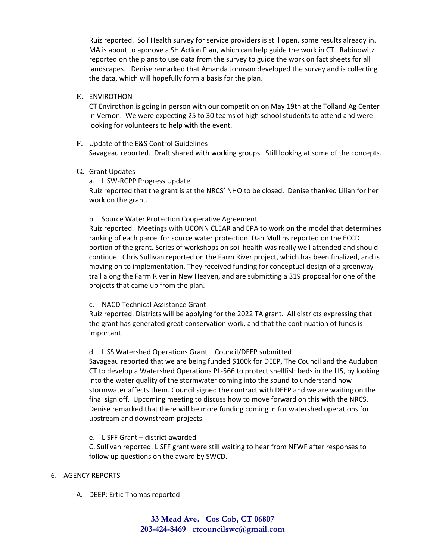Ruiz reported. Soil Health survey for service providers is still open, some results already in. MA is about to approve a SH Action Plan, which can help guide the work in CT. Rabinowitz reported on the plans to use data from the survey to guide the work on fact sheets for all landscapes. Denise remarked that Amanda Johnson developed the survey and is collecting the data, which will hopefully form a basis for the plan.

**E.** ENVIROTHON

CT Envirothon is going in person with our competition on May 19th at the Tolland Ag Center in Vernon. We were expecting 25 to 30 teams of high school students to attend and were looking for volunteers to help with the event.

**F.** Update of the E&S Control Guidelines Savageau reported. Draft shared with working groups. Still looking at some of the concepts.

### **G.** Grant Updates

a. LISW‐RCPP Progress Update

Ruiz reported that the grant is at the NRCS' NHQ to be closed. Denise thanked Lilian for her work on the grant.

### b. Source Water Protection Cooperative Agreement

Ruiz reported. Meetings with UCONN CLEAR and EPA to work on the model that determines ranking of each parcel for source water protection. Dan Mullins reported on the ECCD portion of the grant. Series of workshops on soil health was really well attended and should continue. Chris Sullivan reported on the Farm River project, which has been finalized, and is moving on to implementation. They received funding for conceptual design of a greenway trail along the Farm River in New Heaven, and are submitting a 319 proposal for one of the projects that came up from the plan.

### c. NACD Technical Assistance Grant

Ruiz reported. Districts will be applying for the 2022 TA grant. All districts expressing that the grant has generated great conservation work, and that the continuation of funds is important.

# d. LISS Watershed Operations Grant – Council/DEEP submitted

Savageau reported that we are being funded \$100k for DEEP, The Council and the Audubon CT to develop a Watershed Operations PL‐566 to protect shellfish beds in the LIS, by looking into the water quality of the stormwater coming into the sound to understand how stormwater affects them. Council signed the contract with DEEP and we are waiting on the final sign off. Upcoming meeting to discuss how to move forward on this with the NRCS. Denise remarked that there will be more funding coming in for watershed operations for upstream and downstream projects.

e. LISFF Grant – district awarded

C. Sullivan reported. LISFF grant were still waiting to hear from NFWF after responses to follow up questions on the award by SWCD.

### 6. AGENCY REPORTS

A. DEEP: Ertic Thomas reported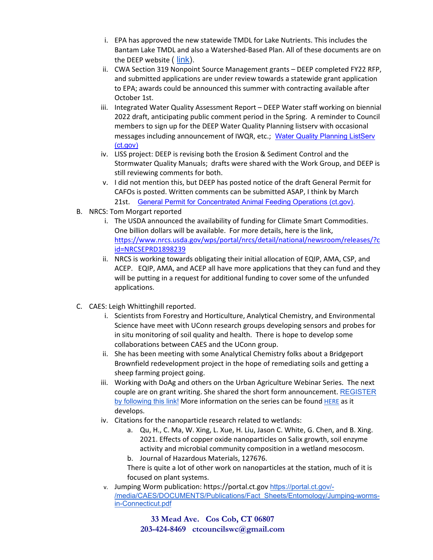- i. EPA has approved the new statewide TMDL for Lake Nutrients. This includes the Bantam Lake TMDL and also a Watershed‐Based Plan. All of these documents are on the DEEP website ( link).
- ii. CWA Section 319 Nonpoint Source Management grants DEEP completed FY22 RFP, and submitted applications are under review towards a statewide grant application to EPA; awards could be announced this summer with contracting available after October 1st.
- iii. Integrated Water Quality Assessment Report DEEP Water staff working on biennial 2022 draft, anticipating public comment period in the Spring. A reminder to Council members to sign up for the DEEP Water Quality Planning listserv with occasional messages including announcement of IWQR, etc.; Water Quality Planning ListServ (ct.gov)
- iv. LISS project: DEEP is revising both the Erosion & Sediment Control and the Stormwater Quality Manuals; drafts were shared with the Work Group, and DEEP is still reviewing comments for both.
- v. I did not mention this, but DEEP has posted notice of the draft General Permit for CAFOs is posted. Written comments can be submitted ASAP, I think by March 21st. General Permit for Concentrated Animal Feeding Operations (ct.gov).
- B. NRCS: Tom Morgart reported
	- i. The USDA announced the availability of funding for Climate Smart Commodities. One billion dollars will be available. For more details, here is the link, https://www.nrcs.usda.gov/wps/portal/nrcs/detail/national/newsroom/releases/?c id=NRCSEPRD1898239
	- ii. NRCS is working towards obligating their initial allocation of EQIP, AMA, CSP, and ACEP. EQIP, AMA, and ACEP all have more applications that they can fund and they will be putting in a request for additional funding to cover some of the unfunded applications.
- C. CAES: Leigh Whittinghill reported.
	- i. Scientists from Forestry and Horticulture, Analytical Chemistry, and Environmental Science have meet with UConn research groups developing sensors and probes for in situ monitoring of soil quality and health. There is hope to develop some collaborations between CAES and the UConn group.
	- ii. She has been meeting with some Analytical Chemistry folks about a Bridgeport Brownfield redevelopment project in the hope of remediating soils and getting a sheep farming project going.
	- iii. Working with DoAg and others on the Urban Agriculture Webinar Series. The next couple are on grant writing. She shared the short form announcement. REGISTER by following this link! More information on the series can be found HERE as it develops.
	- iv. Citations for the nanoparticle research related to wetlands:
		- a. Qu, H., C. Ma, W. Xing, L. Xue, H. Liu, Jason C. White, G. Chen, and B. Xing. 2021. Effects of copper oxide nanoparticles on Salix growth, soil enzyme activity and microbial community composition in a wetland mesocosm.
		- b. Journal of Hazardous Materials, 127676.

There is quite a lot of other work on nanoparticles at the station, much of it is focused on plant systems.

v. Jumping Worm publication: https://portal.ct.gov https://portal.ct.gov/- /media/CAES/DOCUMENTS/Publications/Fact\_Sheets/Entomology/Jumping-wormsin-Connecticut.pdf

> **33 Mead Ave. Cos Cob, CT 06807 203-424-8469 ctcouncilswc@gmail.com**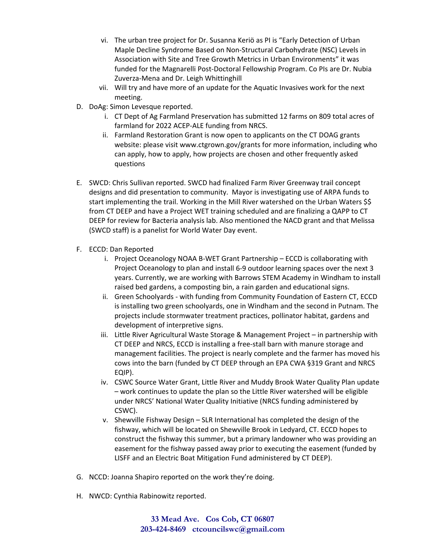- vi. The urban tree project for Dr. Susanna Keriö as PI is "Early Detection of Urban Maple Decline Syndrome Based on Non‐Structural Carbohydrate (NSC) Levels in Association with Site and Tree Growth Metrics in Urban Environments" it was funded for the Magnarelli Post‐Doctoral Fellowship Program. Co PIs are Dr. Nubia Zuverza‐Mena and Dr. Leigh Whittinghill
- vii. Will try and have more of an update for the Aquatic Invasives work for the next meeting.
- D. DoAg: Simon Levesque reported.
	- i. CT Dept of Ag Farmland Preservation has submitted 12 farms on 809 total acres of farmland for 2022 ACEP‐ALE funding from NRCS.
	- ii. Farmland Restoration Grant is now open to applicants on the CT DOAG grants website: please visit www.ctgrown.gov/grants for more information, including who can apply, how to apply, how projects are chosen and other frequently asked questions
- E. SWCD: Chris Sullivan reported. SWCD had finalized Farm River Greenway trail concept designs and did presentation to community. Mayor is investigating use of ARPA funds to start implementing the trail. Working in the Mill River watershed on the Urban Waters \$\$ from CT DEEP and have a Project WET training scheduled and are finalizing a QAPP to CT DEEP for review for Bacteria analysis lab. Also mentioned the NACD grant and that Melissa (SWCD staff) is a panelist for World Water Day event.
- F. ECCD: Dan Reported
	- i. Project Oceanology NOAA B‐WET Grant Partnership ECCD is collaborating with Project Oceanology to plan and install 6‐9 outdoor learning spaces over the next 3 years. Currently, we are working with Barrows STEM Academy in Windham to install raised bed gardens, a composting bin, a rain garden and educational signs.
	- ii. Green Schoolyards ‐ with funding from Community Foundation of Eastern CT, ECCD is installing two green schoolyards, one in Windham and the second in Putnam. The projects include stormwater treatment practices, pollinator habitat, gardens and development of interpretive signs.
	- iii. Little River Agricultural Waste Storage & Management Project in partnership with CT DEEP and NRCS, ECCD is installing a free‐stall barn with manure storage and management facilities. The project is nearly complete and the farmer has moved his cows into the barn (funded by CT DEEP through an EPA CWA §319 Grant and NRCS EQIP).
	- iv. CSWC Source Water Grant, Little River and Muddy Brook Water Quality Plan update – work continues to update the plan so the Little River watershed will be eligible under NRCS' National Water Quality Initiative (NRCS funding administered by CSWC).
	- v. Shewville Fishway Design SLR International has completed the design of the fishway, which will be located on Shewville Brook in Ledyard, CT. ECCD hopes to construct the fishway this summer, but a primary landowner who was providing an easement for the fishway passed away prior to executing the easement (funded by LISFF and an Electric Boat Mitigation Fund administered by CT DEEP).
- G. NCCD: Joanna Shapiro reported on the work they're doing.
- H. NWCD: Cynthia Rabinowitz reported.